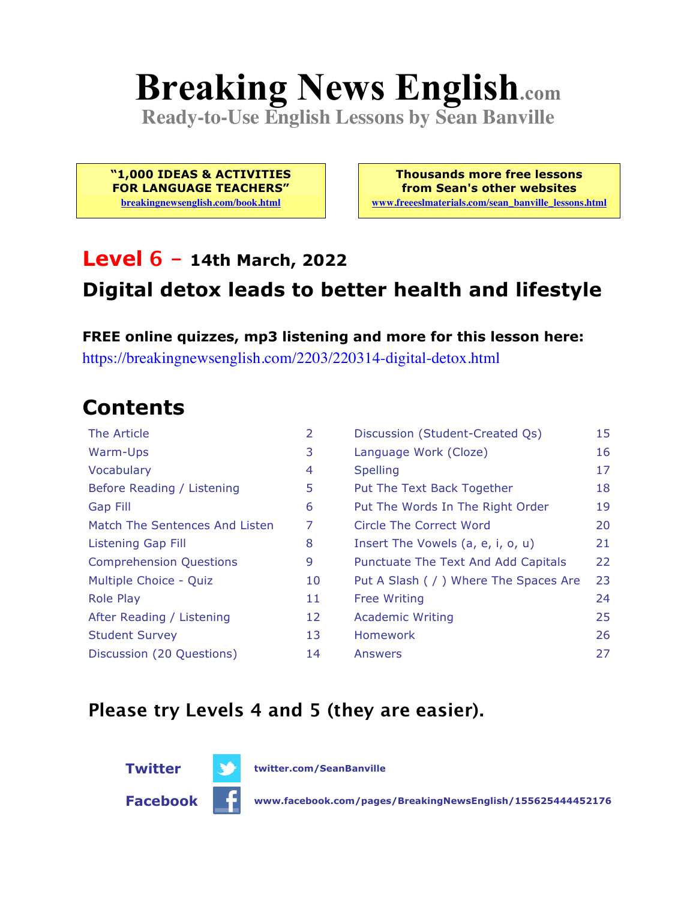# **Breaking News English.com**

**Ready-to-Use English Lessons by Sean Banville**

**"1,000 IDEAS & ACTIVITIES FOR LANGUAGE TEACHERS" breakingnewsenglish.com/book.html**

**Thousands more free lessons from Sean's other websites www.freeeslmaterials.com/sean\_banville\_lessons.html**

#### **Level 6 - 14th March, 2022**

#### **Digital detox leads to better health and lifestyle**

**FREE online quizzes, mp3 listening and more for this lesson here:** https://breakingnewsenglish.com/2203/220314-digital-detox.html

### **Contents**

| The Article                    | 2  | Discussion (Student-Created Qs)        | 15 |
|--------------------------------|----|----------------------------------------|----|
| Warm-Ups                       | 3  | Language Work (Cloze)                  | 16 |
| Vocabulary                     | 4  | <b>Spelling</b>                        | 17 |
| Before Reading / Listening     | 5  | Put The Text Back Together             | 18 |
| <b>Gap Fill</b>                | 6  | Put The Words In The Right Order       | 19 |
| Match The Sentences And Listen | 7  | Circle The Correct Word                | 20 |
| Listening Gap Fill             | 8  | Insert The Vowels (a, e, i, o, u)      | 21 |
| <b>Comprehension Questions</b> | 9  | Punctuate The Text And Add Capitals    | 22 |
| Multiple Choice - Quiz         | 10 | Put A Slash ( / ) Where The Spaces Are | 23 |
| <b>Role Play</b>               | 11 | <b>Free Writing</b>                    | 24 |
| After Reading / Listening      | 12 | <b>Academic Writing</b>                | 25 |
| <b>Student Survey</b>          | 13 | Homework                               | 26 |
| Discussion (20 Questions)      | 14 | Answers                                | 27 |

#### **Please try Levels 4 and 5 (they are easier).**





**Facebook www.facebook.com/pages/BreakingNewsEnglish/155625444452176**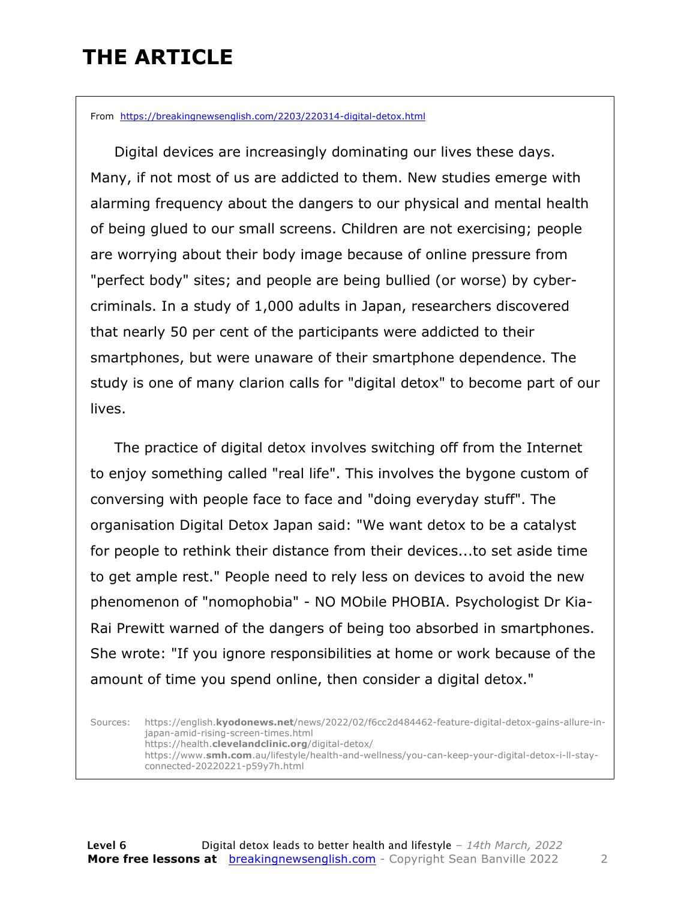### **THE ARTICLE**

From https://breakingnewsenglish.com/2203/220314-digital-detox.html

 Digital devices are increasingly dominating our lives these days. Many, if not most of us are addicted to them. New studies emerge with alarming frequency about the dangers to our physical and mental health of being glued to our small screens. Children are not exercising; people are worrying about their body image because of online pressure from "perfect body" sites; and people are being bullied (or worse) by cybercriminals. In a study of 1,000 adults in Japan, researchers discovered that nearly 50 per cent of the participants were addicted to their smartphones, but were unaware of their smartphone dependence. The study is one of many clarion calls for "digital detox" to become part of our lives.

 The practice of digital detox involves switching off from the Internet to enjoy something called "real life". This involves the bygone custom of conversing with people face to face and "doing everyday stuff". The organisation Digital Detox Japan said: "We want detox to be a catalyst for people to rethink their distance from their devices...to set aside time to get ample rest." People need to rely less on devices to avoid the new phenomenon of "nomophobia" - NO MObile PHOBIA. Psychologist Dr Kia-Rai Prewitt warned of the dangers of being too absorbed in smartphones. She wrote: "If you ignore responsibilities at home or work because of the amount of time you spend online, then consider a digital detox."

Sources: https://english.**kyodonews.net**/news/2022/02/f6cc2d484462-feature-digital-detox-gains-allure-injapan-amid-rising-screen-times.html https://health.**clevelandclinic.org**/digital-detox/ https://www.**smh.com**.au/lifestyle/health-and-wellness/you-can-keep-your-digital-detox-i-ll-stayconnected-20220221-p59y7h.html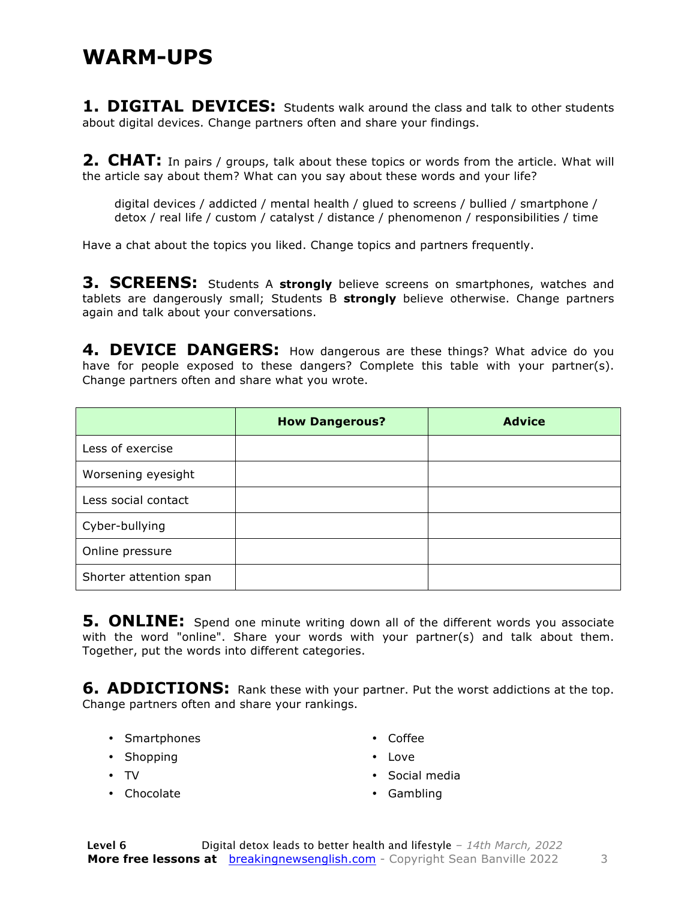#### **WARM-UPS**

**1. DIGITAL DEVICES:** Students walk around the class and talk to other students about digital devices. Change partners often and share your findings.

**2. CHAT:** In pairs / groups, talk about these topics or words from the article. What will the article say about them? What can you say about these words and your life?

digital devices / addicted / mental health / glued to screens / bullied / smartphone / detox / real life / custom / catalyst / distance / phenomenon / responsibilities / time

Have a chat about the topics you liked. Change topics and partners frequently.

**3. SCREENS:** Students A strongly believe screens on smartphones, watches and tablets are dangerously small; Students B **strongly** believe otherwise. Change partners again and talk about your conversations.

**4. DEVICE DANGERS:** How dangerous are these things? What advice do you have for people exposed to these dangers? Complete this table with your partner(s). Change partners often and share what you wrote.

|                        | <b>How Dangerous?</b> | <b>Advice</b> |
|------------------------|-----------------------|---------------|
| Less of exercise       |                       |               |
| Worsening eyesight     |                       |               |
| Less social contact    |                       |               |
| Cyber-bullying         |                       |               |
| Online pressure        |                       |               |
| Shorter attention span |                       |               |

**5. ONLINE:** Spend one minute writing down all of the different words you associate with the word "online". Share your words with your partner(s) and talk about them. Together, put the words into different categories.

**6. ADDICTIONS:** Rank these with your partner. Put the worst addictions at the top. Change partners often and share your rankings.

• Smartphones

• Coffee

• Shopping

• Love

- TV
- Chocolate
- Social media
- Gambling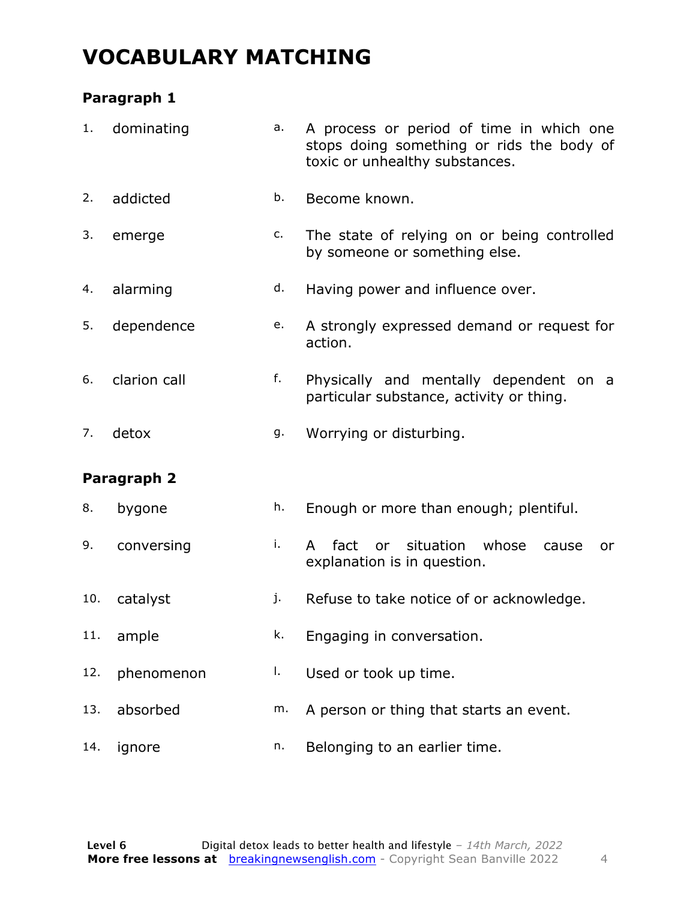### **VOCABULARY MATCHING**

#### **Paragraph 1**

| 1.  | dominating   | a. | A process or period of time in which one<br>stops doing something or rids the body of<br>toxic or unhealthy substances. |  |  |  |  |
|-----|--------------|----|-------------------------------------------------------------------------------------------------------------------------|--|--|--|--|
| 2.  | addicted     | b. | Become known.                                                                                                           |  |  |  |  |
| 3.  | emerge       | c. | The state of relying on or being controlled<br>by someone or something else.                                            |  |  |  |  |
| 4.  | alarming     | d. | Having power and influence over.                                                                                        |  |  |  |  |
| 5.  | dependence   | e. | A strongly expressed demand or request for<br>action.                                                                   |  |  |  |  |
| 6.  | clarion call | f. | Physically and mentally dependent on a<br>particular substance, activity or thing.                                      |  |  |  |  |
| 7.  | detox        | g. | Worrying or disturbing.                                                                                                 |  |  |  |  |
|     | Paragraph 2  |    |                                                                                                                         |  |  |  |  |
| 8.  | bygone       | h. | Enough or more than enough; plentiful.                                                                                  |  |  |  |  |
| 9.  | conversing   | i. | or situation<br>whose<br>fact<br>A<br>cause<br>or<br>explanation is in question.                                        |  |  |  |  |
| 10. | catalyst     | j. | Refuse to take notice of or acknowledge.                                                                                |  |  |  |  |
| 11. | ample        | k. | Engaging in conversation.                                                                                               |  |  |  |  |
| 12. | phenomenon   | I. | Used or took up time.                                                                                                   |  |  |  |  |
| 13. | absorbed     | m. | A person or thing that starts an event.                                                                                 |  |  |  |  |
| 14. | ignore       | n. | Belonging to an earlier time.                                                                                           |  |  |  |  |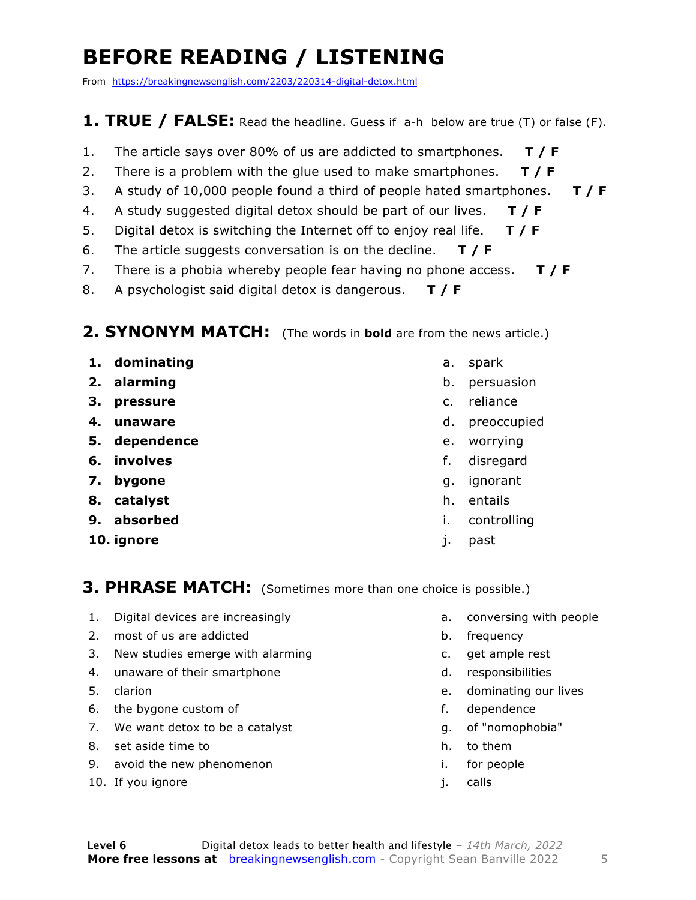### **BEFORE READING / LISTENING**

From https://breakingnewsenglish.com/2203/220314-digital-detox.html

#### **1. TRUE / FALSE:** Read the headline. Guess if a-h below are true (T) or false (F).

- 1. The article says over 80% of us are addicted to smartphones. **T / F**
- 2. There is a problem with the glue used to make smartphones. **T / F**
- 3. A study of 10,000 people found a third of people hated smartphones. **T / F**
- 4. A study suggested digital detox should be part of our lives. **T / F**
- 5. Digital detox is switching the Internet off to enjoy real life. **T / F**
- 6. The article suggests conversation is on the decline. **T / F**
- 7. There is a phobia whereby people fear having no phone access. **T / F**
- 8. A psychologist said digital detox is dangerous. **T / F**

#### **2. SYNONYM MATCH:** (The words in **bold** are from the news article.)

- **1. dominating**
- **2. alarming**
- **3. pressure**
- **4. unaware**
- **5. dependence**
- **6. involves**
- **7. bygone**
- **8. catalyst**
- **9. absorbed**
- **10. ignore**
- a. spark
- b. persuasion
- c. reliance
- d. preoccupied
- e. worrying
- f. disregard
- g. ignorant
- h. entails
- i. controlling
- j. past

#### **3. PHRASE MATCH:** (Sometimes more than one choice is possible.)

- 1. Digital devices are increasingly
- 2. most of us are addicted
- 3. New studies emerge with alarming
- 4. unaware of their smartphone
- 5. clarion
- 6. the bygone custom of
- 7. We want detox to be a catalyst
- 8. set aside time to
- 9. avoid the new phenomenon
- 10. If you ignore
- a. conversing with people
- b. frequency
- c. get ample rest
- d. responsibilities
- e. dominating our lives
- f. dependence
- g. of "nomophobia"
- h. to them
- i. for people
- j. calls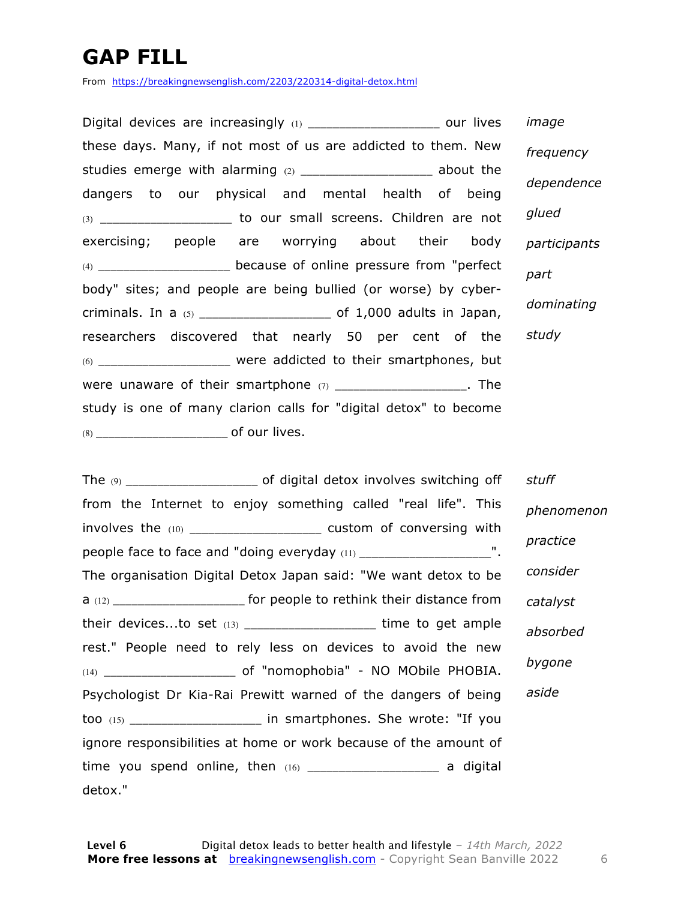### **GAP FILL**

From https://breakingnewsenglish.com/2203/220314-digital-detox.html

Digital devices are increasingly (1) \_\_\_\_\_\_\_\_\_\_\_\_\_\_\_\_\_\_\_\_\_\_\_ our lives these days. Many, if not most of us are addicted to them. New studies emerge with alarming (2) \_\_\_\_\_\_\_\_\_\_\_\_\_\_\_\_\_\_\_\_\_\_\_ about the dangers to our physical and mental health of being (3) \_\_\_\_\_\_\_\_\_\_\_\_\_\_\_\_\_\_\_\_\_ to our small screens. Children are not exercising; people are worrying about their body (4) \_\_\_\_\_\_\_\_\_\_\_\_\_\_\_\_\_\_\_\_\_ because of online pressure from "perfect body" sites; and people are being bullied (or worse) by cybercriminals. In a (5) \_\_\_\_\_\_\_\_\_\_\_\_\_\_\_\_\_\_\_\_\_ of 1,000 adults in Japan, researchers discovered that nearly 50 per cent of the (6) \_\_\_\_\_\_\_\_\_\_\_\_\_\_\_\_\_\_\_\_\_ were addicted to their smartphones, but were unaware of their smartphone  $(7)$  \_\_\_\_\_\_\_\_\_\_\_\_\_\_\_\_\_\_\_\_. The study is one of many clarion calls for "digital detox" to become (8) \_\_\_\_\_\_\_\_\_\_\_\_\_\_\_\_\_\_\_\_\_ of our lives.

*image frequency dependence glued participants part dominating study*

The (9) \_\_\_\_\_\_\_\_\_\_\_\_\_\_\_\_\_\_\_\_\_ of digital detox involves switching off from the Internet to enjoy something called "real life". This involves the (10) \_\_\_\_\_\_\_\_\_\_\_\_\_\_\_\_\_\_\_\_\_\_\_ custom of conversing with people face to face and "doing everyday (11) \_\_\_\_\_\_\_\_\_\_\_\_\_\_\_\_\_\_\_\_\_\_\_". The organisation Digital Detox Japan said: "We want detox to be a (12) \_\_\_\_\_\_\_\_\_\_\_\_\_\_\_\_\_\_\_\_\_ for people to rethink their distance from their devices...to set  $(13)$  \_\_\_\_\_\_\_\_\_\_\_\_\_\_\_\_\_\_\_\_\_\_\_\_\_\_ time to get ample rest." People need to rely less on devices to avoid the new (14) \_\_\_\_\_\_\_\_\_\_\_\_\_\_\_\_\_\_\_\_\_ of "nomophobia" - NO MObile PHOBIA. Psychologist Dr Kia-Rai Prewitt warned of the dangers of being too (15) \_\_\_\_\_\_\_\_\_\_\_\_\_\_\_\_\_\_\_\_\_ in smartphones. She wrote: "If you ignore responsibilities at home or work because of the amount of time you spend online, then  $(16)$  \_\_\_\_\_\_\_\_\_\_\_\_\_\_\_\_\_\_\_\_\_\_\_\_\_\_\_ a digital detox." *stuff phenomenon practice consider catalyst absorbed bygone aside*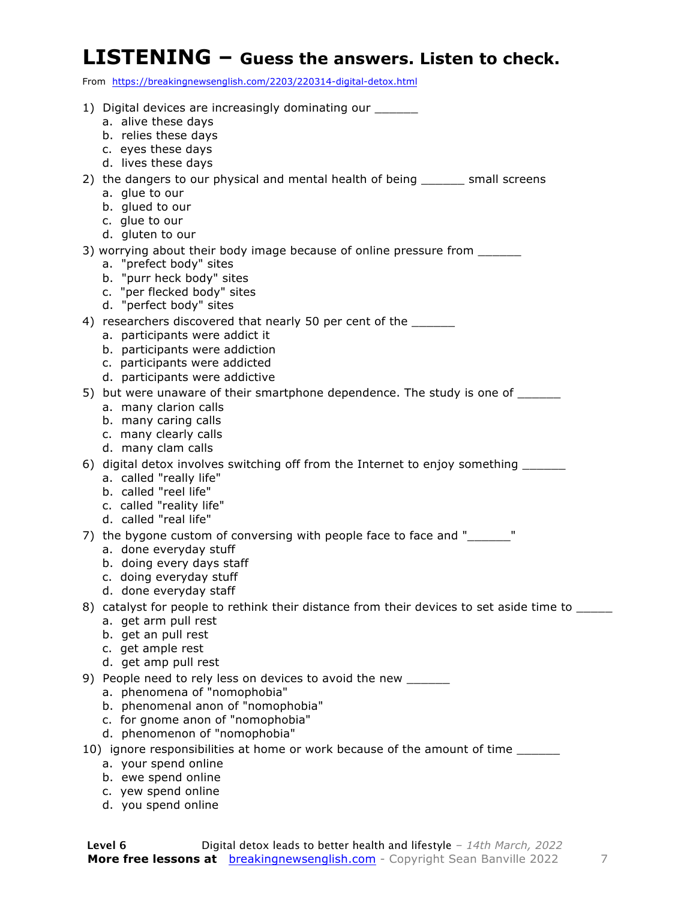#### **LISTENING – Guess the answers. Listen to check.**

From https://breakingnewsenglish.com/2203/220314-digital-detox.html

| 1) Digital devices are increasingly dominating our ______                                         |
|---------------------------------------------------------------------------------------------------|
| a. alive these days                                                                               |
| b. relies these days                                                                              |
| c. eyes these days                                                                                |
| d. lives these days                                                                               |
| 2) the dangers to our physical and mental health of being _______ small screens<br>a. glue to our |
| b. glued to our                                                                                   |
| c. glue to our                                                                                    |
| d. gluten to our                                                                                  |
| 3) worrying about their body image because of online pressure from _______                        |
| a. "prefect body" sites                                                                           |
| b. "purr heck body" sites                                                                         |
| c. "per flecked body" sites<br>d. "perfect body" sites                                            |
| 4) researchers discovered that nearly 50 per cent of the ______                                   |
| a. participants were addict it                                                                    |
| b. participants were addiction                                                                    |
| c. participants were addicted                                                                     |
| d. participants were addictive                                                                    |
| 5) but were unaware of their smartphone dependence. The study is one of _______                   |
| a. many clarion calls                                                                             |
| b. many caring calls<br>c. many clearly calls                                                     |
| d. many clam calls                                                                                |
| 6) digital detox involves switching off from the Internet to enjoy something ______               |
| a. called "really life"                                                                           |
| b. called "reel life"                                                                             |
| c. called "reality life"                                                                          |
| d. called "real life"                                                                             |
| 7) the bygone custom of conversing with people face to face and "_______"                         |
| a. done everyday stuff<br>b. doing every days staff                                               |
| c. doing everyday stuff                                                                           |
| d. done everyday staff                                                                            |
| 8) catalyst for people to rethink their distance from their devices to set aside time to _____    |
| a. get arm pull rest                                                                              |
| b. get an pull rest                                                                               |
| c. get ample rest                                                                                 |
| d. get amp pull rest<br>9) People need to rely less on devices to avoid the new ______            |
| a. phenomena of "nomophobia"                                                                      |
| b. phenomenal anon of "nomophobia"                                                                |
| c. for gnome anon of "nomophobia"                                                                 |
| d. phenomenon of "nomophobia"                                                                     |
| 10) ignore responsibilities at home or work because of the amount of time ______                  |
| a. your spend online                                                                              |
| b. ewe spend online                                                                               |

- c. yew spend online
- d. you spend online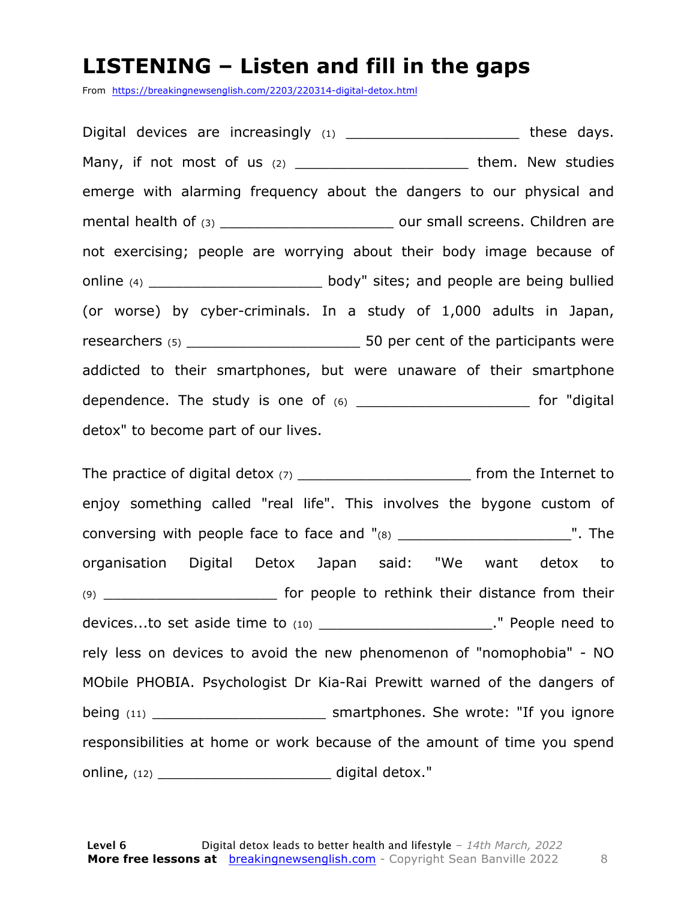#### **LISTENING – Listen and fill in the gaps**

From https://breakingnewsenglish.com/2203/220314-digital-detox.html

Digital devices are increasingly (1) \_\_\_\_\_\_\_\_\_\_\_\_\_\_\_\_\_\_\_\_\_\_\_\_\_ these days. Many, if not most of us (2) \_\_\_\_\_\_\_\_\_\_\_\_\_\_\_\_\_\_\_\_\_\_\_\_them. New studies emerge with alarming frequency about the dangers to our physical and mental health of (3) \_\_\_\_\_\_\_\_\_\_\_\_\_\_\_\_\_\_\_\_\_\_\_\_\_\_\_\_ our small screens. Children are not exercising; people are worrying about their body image because of online (4) \_\_\_\_\_\_\_\_\_\_\_\_\_\_\_\_\_\_\_\_ body" sites; and people are being bullied (or worse) by cyber-criminals. In a study of 1,000 adults in Japan, researchers (5) \_\_\_\_\_\_\_\_\_\_\_\_\_\_\_\_\_\_\_\_ 50 per cent of the participants were addicted to their smartphones, but were unaware of their smartphone dependence. The study is one of  $(6)$  \_\_\_\_\_\_\_\_\_\_\_\_\_\_\_\_\_\_\_\_\_\_\_\_\_ for "digital detox" to become part of our lives.

The practice of digital detox (7) \_\_\_\_\_\_\_\_\_\_\_\_\_\_\_\_\_\_\_\_ from the Internet to enjoy something called "real life". This involves the bygone custom of conversing with people face to face and "(8) \_\_\_\_\_\_\_\_\_\_\_\_\_\_\_\_\_\_\_\_". The organisation Digital Detox Japan said: "We want detox to (9) \_\_\_\_\_\_\_\_\_\_\_\_\_\_\_\_\_\_\_\_ for people to rethink their distance from their devices...to set aside time to (10) \_\_\_\_\_\_\_\_\_\_\_\_\_\_\_\_\_\_\_\_\_\_\_\_\_." People need to rely less on devices to avoid the new phenomenon of "nomophobia" - NO MObile PHOBIA. Psychologist Dr Kia-Rai Prewitt warned of the dangers of being (11) **being** (11) **Smartphones.** She wrote: "If you ignore responsibilities at home or work because of the amount of time you spend online, (12) \_\_\_\_\_\_\_\_\_\_\_\_\_\_\_\_\_\_\_\_ digital detox."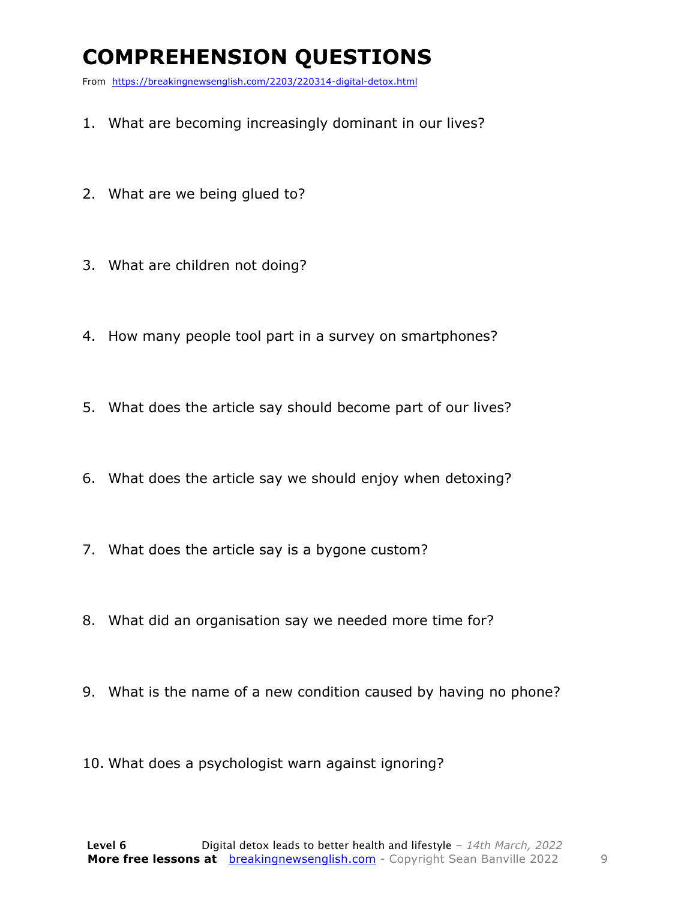### **COMPREHENSION QUESTIONS**

From https://breakingnewsenglish.com/2203/220314-digital-detox.html

- 1. What are becoming increasingly dominant in our lives?
- 2. What are we being glued to?
- 3. What are children not doing?
- 4. How many people tool part in a survey on smartphones?
- 5. What does the article say should become part of our lives?
- 6. What does the article say we should enjoy when detoxing?
- 7. What does the article say is a bygone custom?
- 8. What did an organisation say we needed more time for?
- 9. What is the name of a new condition caused by having no phone?
- 10. What does a psychologist warn against ignoring?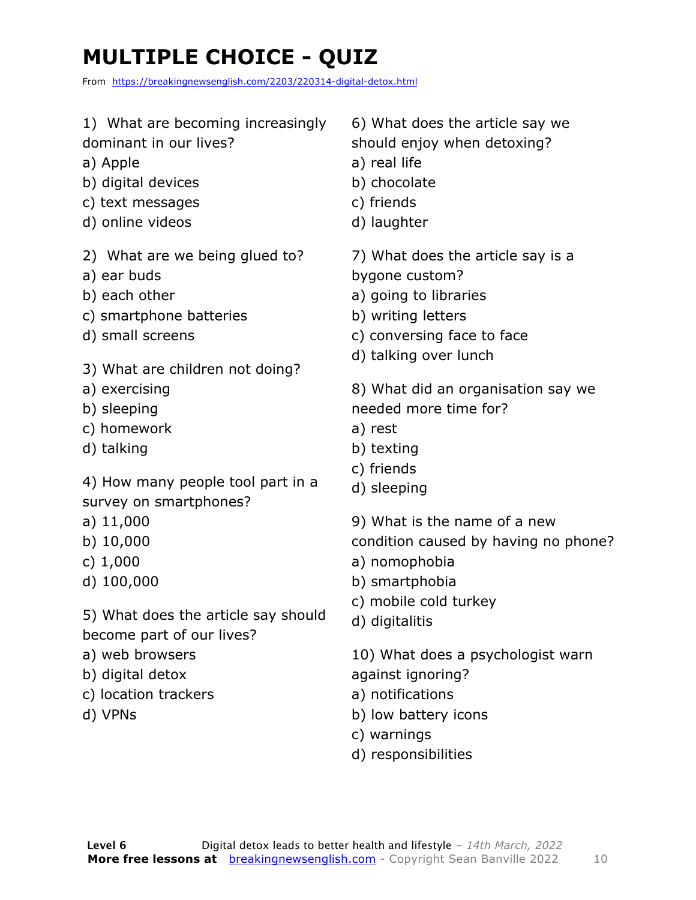### **MULTIPLE CHOICE - QUIZ**

From https://breakingnewsenglish.com/2203/220314-digital-detox.html

| 1) What are becoming increasingly                                      | 6) What does the article say we                                                                                                          |
|------------------------------------------------------------------------|------------------------------------------------------------------------------------------------------------------------------------------|
| dominant in our lives?                                                 | should enjoy when detoxing?                                                                                                              |
| a) Apple                                                               | a) real life                                                                                                                             |
| b) digital devices                                                     | b) chocolate                                                                                                                             |
| c) text messages                                                       | c) friends                                                                                                                               |
| d) online videos                                                       | d) laughter                                                                                                                              |
| 2) What are we being glued to?                                         | 7) What does the article say is a                                                                                                        |
| a) ear buds                                                            | bygone custom?                                                                                                                           |
| b) each other                                                          | a) going to libraries                                                                                                                    |
| c) smartphone batteries                                                | b) writing letters                                                                                                                       |
| d) small screens                                                       | c) conversing face to face                                                                                                               |
| 3) What are children not doing?                                        | d) talking over lunch                                                                                                                    |
| a) exercising                                                          | 8) What did an organisation say we                                                                                                       |
| b) sleeping                                                            | needed more time for?                                                                                                                    |
| c) homework                                                            | a) rest                                                                                                                                  |
| d) talking                                                             | b) texting                                                                                                                               |
| 4) How many people tool part in a                                      | c) friends                                                                                                                               |
| survey on smartphones?                                                 | d) sleeping                                                                                                                              |
| a) $11,000$                                                            | 9) What is the name of a new                                                                                                             |
| b) $10,000$                                                            | condition caused by having no phone?                                                                                                     |
| c) $1,000$                                                             | a) nomophobia                                                                                                                            |
| d) 100,000                                                             | b) smartphobia                                                                                                                           |
| 5) What does the article say should                                    | c) mobile cold turkey                                                                                                                    |
| become part of our lives?                                              | d) digitalitis                                                                                                                           |
| a) web browsers<br>b) digital detox<br>c) location trackers<br>d) VPNs | 10) What does a psychologist warn<br>against ignoring?<br>a) notifications<br>b) low battery icons<br>c) warnings<br>d) responsibilities |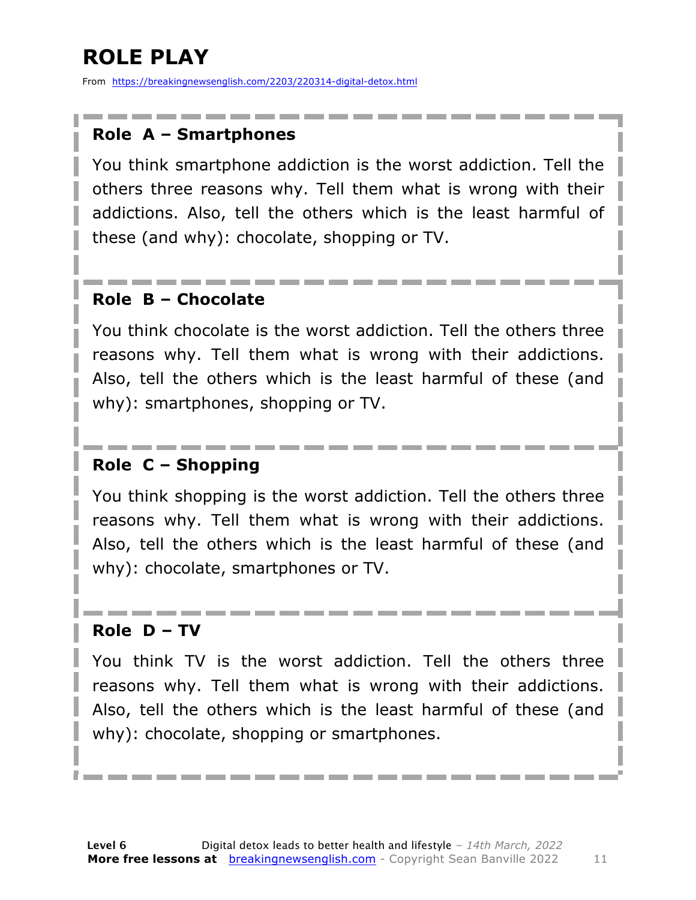### **ROLE PLAY**

From https://breakingnewsenglish.com/2203/220314-digital-detox.html

#### **Role A – Smartphones**

You think smartphone addiction is the worst addiction. Tell the others three reasons why. Tell them what is wrong with their addictions. Also, tell the others which is the least harmful of these (and why): chocolate, shopping or TV.

#### **Role B – Chocolate**

You think chocolate is the worst addiction. Tell the others three reasons why. Tell them what is wrong with their addictions. Also, tell the others which is the least harmful of these (and why): smartphones, shopping or TV.

#### **Role C – Shopping**

You think shopping is the worst addiction. Tell the others three reasons why. Tell them what is wrong with their addictions. Also, tell the others which is the least harmful of these (and why): chocolate, smartphones or TV.

#### **Role D – TV**

You think TV is the worst addiction. Tell the others three reasons why. Tell them what is wrong with their addictions. Also, tell the others which is the least harmful of these (and why): chocolate, shopping or smartphones.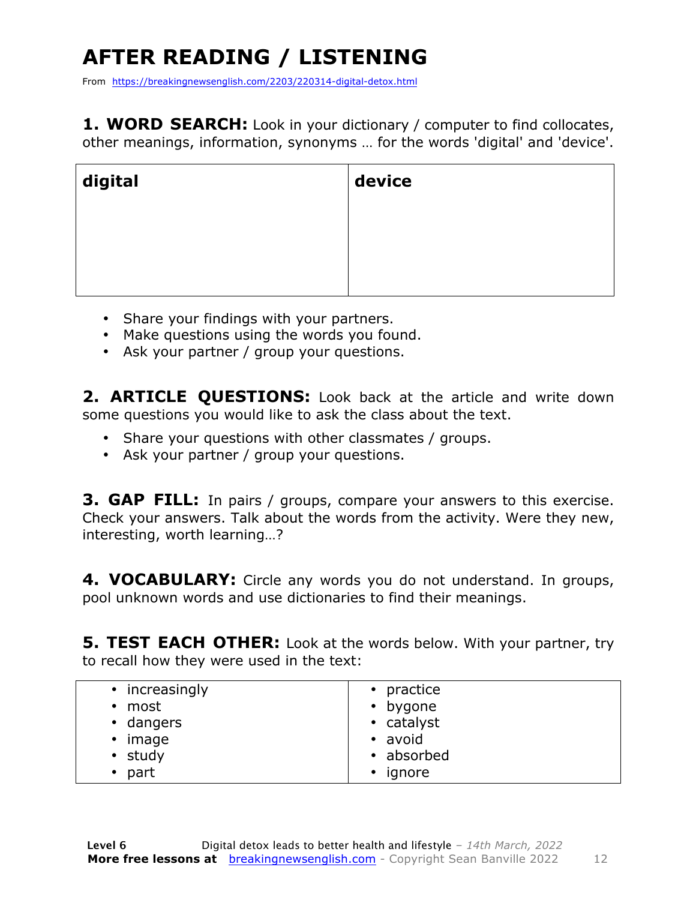## **AFTER READING / LISTENING**

From https://breakingnewsenglish.com/2203/220314-digital-detox.html

**1. WORD SEARCH:** Look in your dictionary / computer to find collocates, other meanings, information, synonyms … for the words 'digital' and 'device'.

| digital | device |
|---------|--------|
|         |        |
|         |        |
|         |        |

- Share your findings with your partners.
- Make questions using the words you found.
- Ask your partner / group your questions.

2. **ARTICLE OUESTIONS:** Look back at the article and write down some questions you would like to ask the class about the text.

- Share your questions with other classmates / groups.
- Ask your partner / group your questions.

**3. GAP FILL:** In pairs / groups, compare your answers to this exercise. Check your answers. Talk about the words from the activity. Were they new, interesting, worth learning…?

**4. VOCABULARY:** Circle any words you do not understand. In groups, pool unknown words and use dictionaries to find their meanings.

**5. TEST EACH OTHER:** Look at the words below. With your partner, try to recall how they were used in the text:

| • increasingly<br>• most<br>• dangers<br>$\bullet$ | • practice<br>• bygone<br>• catalyst |
|----------------------------------------------------|--------------------------------------|
|                                                    |                                      |
| image                                              | • avoid                              |
| • study                                            | • absorbed                           |
| $\bullet$ part                                     | ignore<br>$\bullet$                  |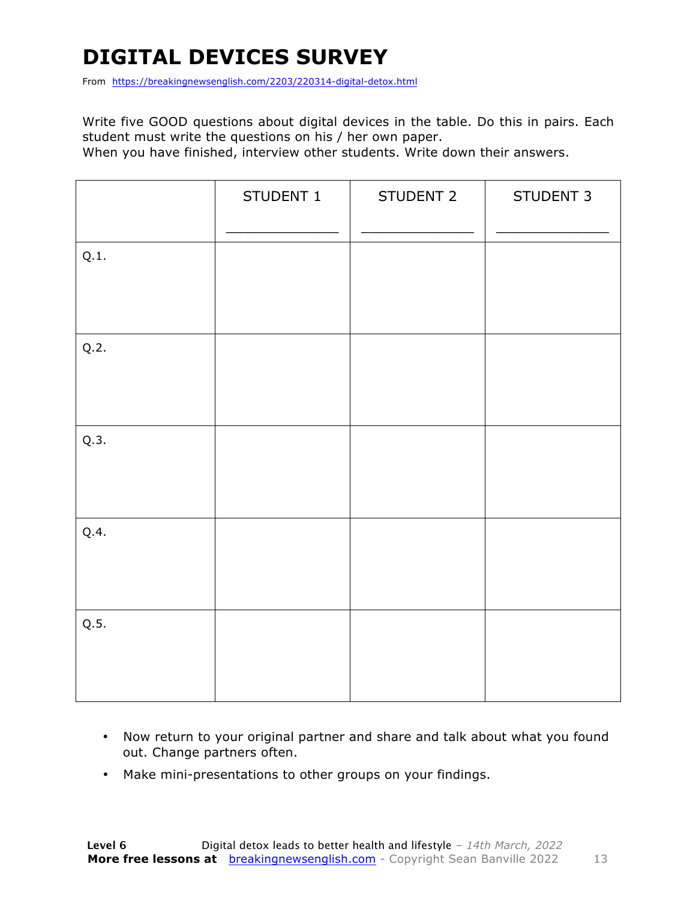### **DIGITAL DEVICES SURVEY**

From https://breakingnewsenglish.com/2203/220314-digital-detox.html

Write five GOOD questions about digital devices in the table. Do this in pairs. Each student must write the questions on his / her own paper.

When you have finished, interview other students. Write down their answers.

|      | STUDENT 1 | STUDENT 2 | STUDENT 3 |
|------|-----------|-----------|-----------|
| Q.1. |           |           |           |
| Q.2. |           |           |           |
| Q.3. |           |           |           |
| Q.4. |           |           |           |
| Q.5. |           |           |           |

- Now return to your original partner and share and talk about what you found out. Change partners often.
- Make mini-presentations to other groups on your findings.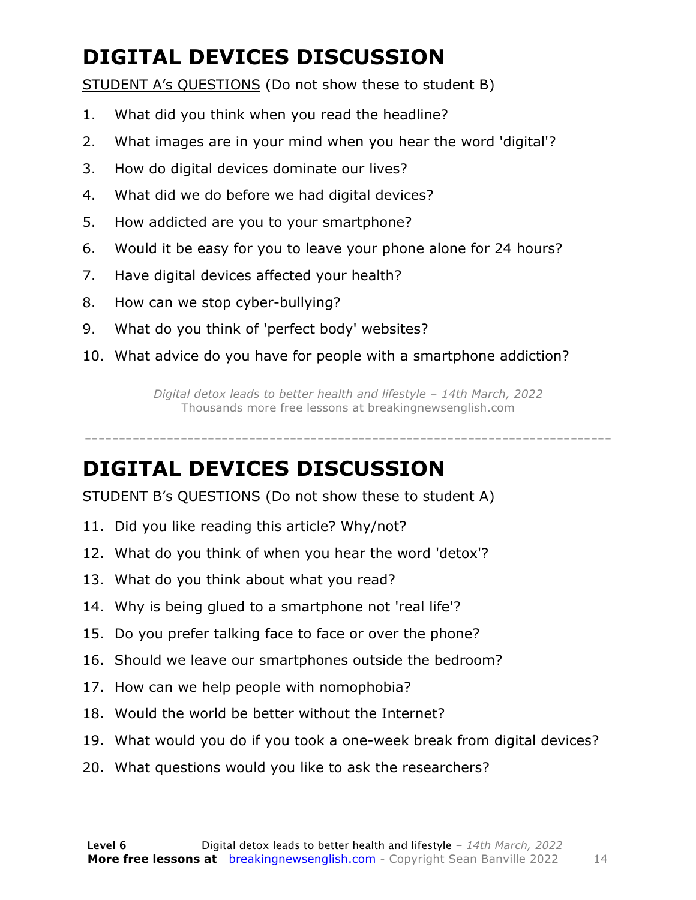### **DIGITAL DEVICES DISCUSSION**

STUDENT A's QUESTIONS (Do not show these to student B)

- 1. What did you think when you read the headline?
- 2. What images are in your mind when you hear the word 'digital'?
- 3. How do digital devices dominate our lives?
- 4. What did we do before we had digital devices?
- 5. How addicted are you to your smartphone?
- 6. Would it be easy for you to leave your phone alone for 24 hours?
- 7. Have digital devices affected your health?
- 8. How can we stop cyber-bullying?
- 9. What do you think of 'perfect body' websites?
- 10. What advice do you have for people with a smartphone addiction?

*Digital detox leads to better health and lifestyle – 14th March, 2022* Thousands more free lessons at breakingnewsenglish.com

-----------------------------------------------------------------------------

#### **DIGITAL DEVICES DISCUSSION**

STUDENT B's QUESTIONS (Do not show these to student A)

- 11. Did you like reading this article? Why/not?
- 12. What do you think of when you hear the word 'detox'?
- 13. What do you think about what you read?
- 14. Why is being glued to a smartphone not 'real life'?
- 15. Do you prefer talking face to face or over the phone?
- 16. Should we leave our smartphones outside the bedroom?
- 17. How can we help people with nomophobia?
- 18. Would the world be better without the Internet?
- 19. What would you do if you took a one-week break from digital devices?
- 20. What questions would you like to ask the researchers?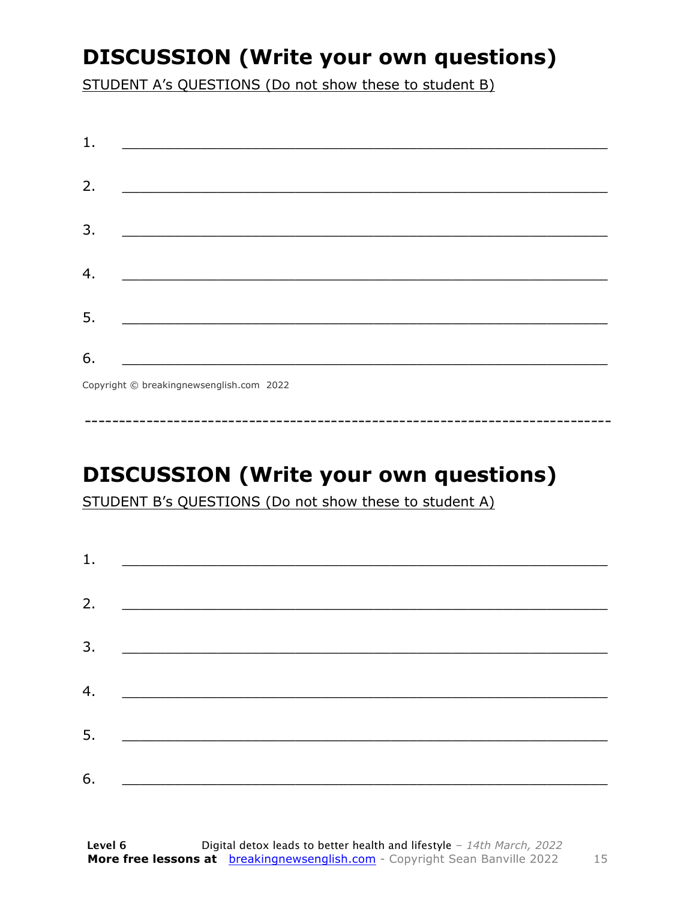### **DISCUSSION (Write your own questions)**

STUDENT A's QUESTIONS (Do not show these to student B)

| 1. |                                          |
|----|------------------------------------------|
|    |                                          |
| 2. |                                          |
|    |                                          |
| 3. |                                          |
|    |                                          |
| 4. |                                          |
|    |                                          |
| 5. |                                          |
|    |                                          |
| 6. |                                          |
|    | Copyright © breakingnewsenglish.com 2022 |

### **DISCUSSION (Write your own questions)**

STUDENT B's QUESTIONS (Do not show these to student A)

| 1. |                                                                                                                        |  |
|----|------------------------------------------------------------------------------------------------------------------------|--|
|    |                                                                                                                        |  |
| 2. |                                                                                                                        |  |
| 3. | <u> 1989 - Johann Stoff, deutscher Stoffen und der Stoffen und der Stoffen und der Stoffen und der Stoffen und der</u> |  |
| 4. | <u> 1980 - Jan Barbara Barat, martin da basar da basar da basar da basar da basar da basar da basar da basar da b</u>  |  |
| 5. |                                                                                                                        |  |
|    | <u> 1980 - Jan Barbarat, martin da basar da basar da basar da basar da basar da basar da basar da basar da basar</u>   |  |
| 6. |                                                                                                                        |  |

15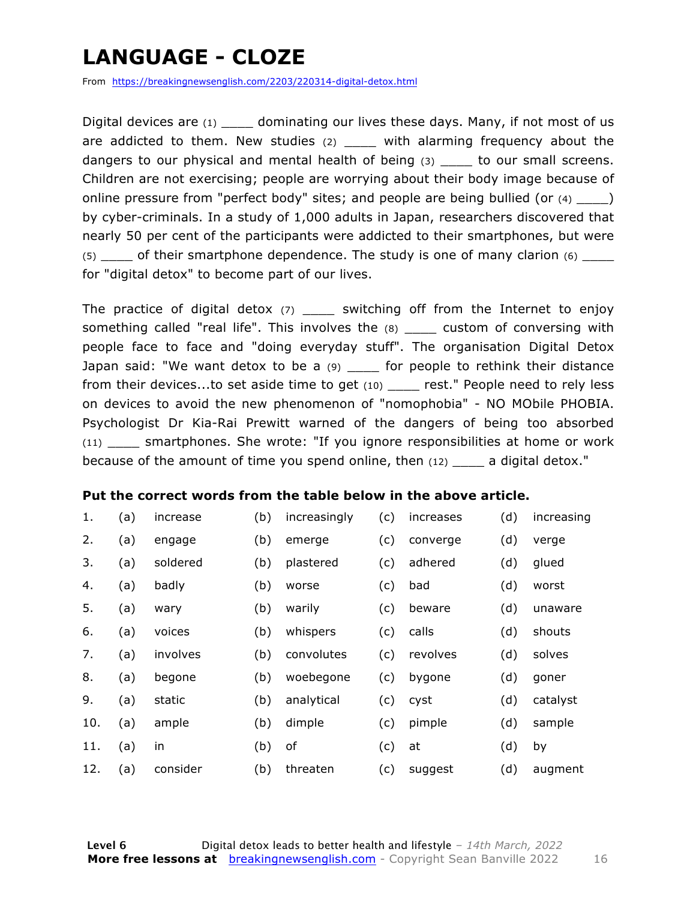### **LANGUAGE - CLOZE**

From https://breakingnewsenglish.com/2203/220314-digital-detox.html

Digital devices are  $(1)$  dominating our lives these days. Many, if not most of us are addicted to them. New studies  $(2)$  \_\_\_\_ with alarming frequency about the dangers to our physical and mental health of being (3) be to our small screens. Children are not exercising; people are worrying about their body image because of online pressure from "perfect body" sites; and people are being bullied (or  $(4)$  \_\_\_\_) by cyber-criminals. In a study of 1,000 adults in Japan, researchers discovered that nearly 50 per cent of the participants were addicted to their smartphones, but were  $(5)$  of their smartphone dependence. The study is one of many clarion  $(6)$ for "digital detox" to become part of our lives.

The practice of digital detox  $(7)$  \_\_\_\_\_ switching off from the Internet to enjoy something called "real life". This involves the (8) \_\_\_\_ custom of conversing with people face to face and "doing everyday stuff". The organisation Digital Detox Japan said: "We want detox to be a  $(9)$  \_\_\_\_ for people to rethink their distance from their devices...to set aside time to get (10) \_\_\_\_\_ rest." People need to rely less on devices to avoid the new phenomenon of "nomophobia" - NO MObile PHOBIA. Psychologist Dr Kia-Rai Prewitt warned of the dangers of being too absorbed (11) \_\_\_\_ smartphones. She wrote: "If you ignore responsibilities at home or work because of the amount of time you spend online, then  $(12)$  a digital detox."

#### **Put the correct words from the table below in the above article.**

| 1.  | (a) | increase | (b) | increasingly | (c) | increases | (d) | increasing |
|-----|-----|----------|-----|--------------|-----|-----------|-----|------------|
| 2.  | (a) | engage   | (b) | emerge       | (c) | converge  | (d) | verge      |
| 3.  | (a) | soldered | (b) | plastered    | (c) | adhered   | (d) | glued      |
| 4.  | (a) | badly    | (b) | worse        | (c) | bad       | (d) | worst      |
| 5.  | (a) | wary     | (b) | warily       | (c) | beware    | (d) | unaware    |
| 6.  | (a) | voices   | (b) | whispers     | (c) | calls     | (d) | shouts     |
| 7.  | (a) | involves | (b) | convolutes   | (c) | revolves  | (d) | solves     |
| 8.  | (a) | begone   | (b) | woebegone    | (c) | bygone    | (d) | goner      |
| 9.  | (a) | static   | (b) | analytical   | (c) | cyst      | (d) | catalyst   |
| 10. | (a) | ample    | (b) | dimple       | (c) | pimple    | (d) | sample     |
| 11. | (a) | in       | (b) | of           | (c) | at        | (d) | by         |
| 12. | (a) | consider | (b) | threaten     | (c) | suggest   | (d) | augment    |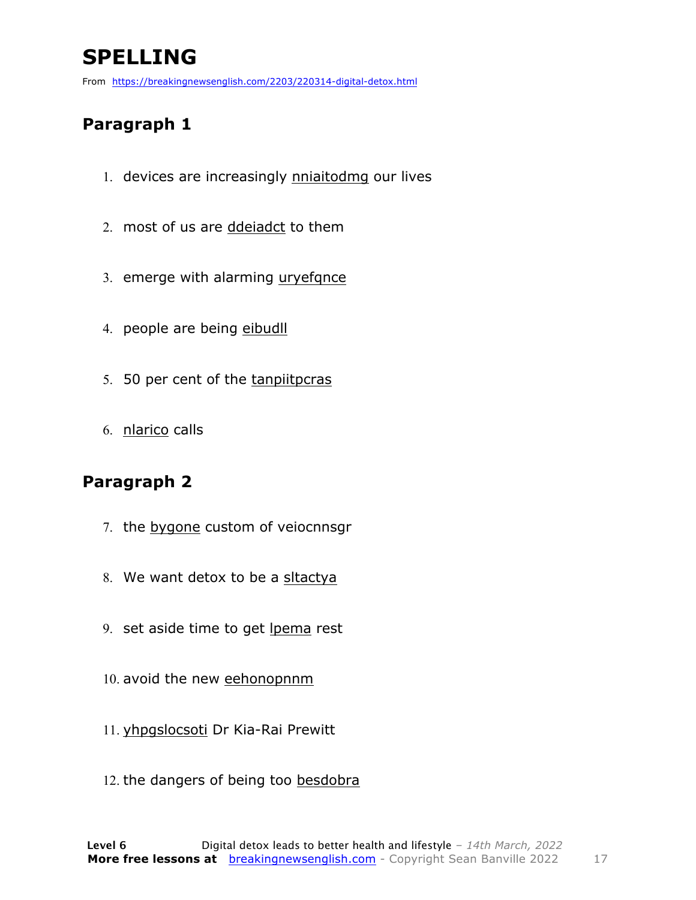### **SPELLING**

From https://breakingnewsenglish.com/2203/220314-digital-detox.html

#### **Paragraph 1**

- 1. devices are increasingly nniaitodmg our lives
- 2. most of us are ddeiadct to them
- 3. emerge with alarming uryefqnce
- 4. people are being eibudll
- 5. 50 per cent of the tanpiitpcras
- 6. nlarico calls

#### **Paragraph 2**

- 7. the bygone custom of veiocnnsgr
- 8. We want detox to be a sltactya
- 9. set aside time to get lpema rest
- 10. avoid the new eehonopnnm
- 11. yhpgslocsoti Dr Kia-Rai Prewitt
- 12. the dangers of being too besdobra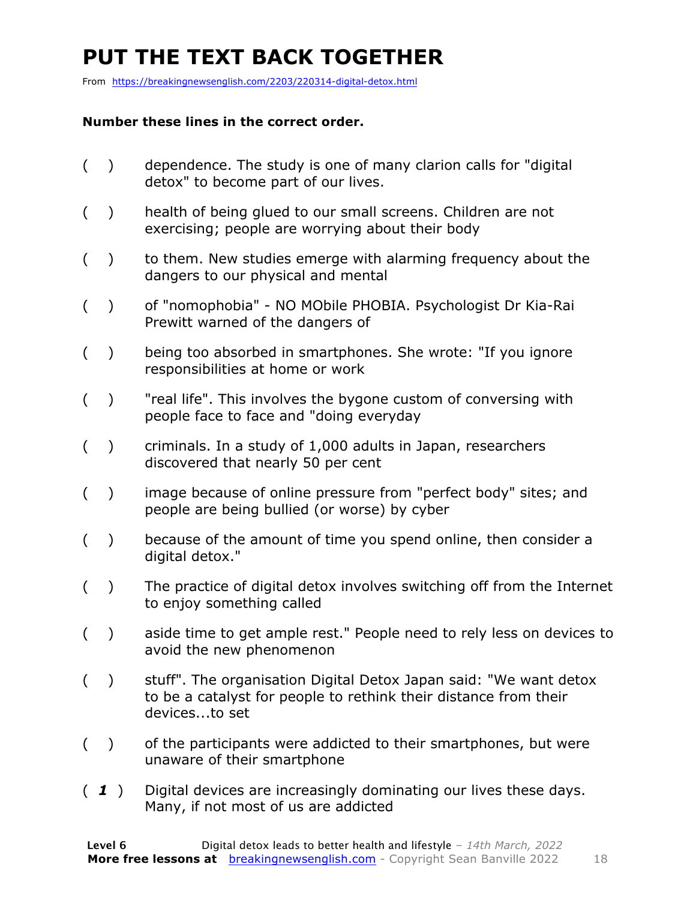### **PUT THE TEXT BACK TOGETHER**

From https://breakingnewsenglish.com/2203/220314-digital-detox.html

#### **Number these lines in the correct order.**

- ( ) dependence. The study is one of many clarion calls for "digital detox" to become part of our lives.
- ( ) health of being glued to our small screens. Children are not exercising; people are worrying about their body
- ( ) to them. New studies emerge with alarming frequency about the dangers to our physical and mental
- ( ) of "nomophobia" NO MObile PHOBIA. Psychologist Dr Kia-Rai Prewitt warned of the dangers of
- ( ) being too absorbed in smartphones. She wrote: "If you ignore responsibilities at home or work
- ( ) "real life". This involves the bygone custom of conversing with people face to face and "doing everyday
- ( ) criminals. In a study of 1,000 adults in Japan, researchers discovered that nearly 50 per cent
- ( ) image because of online pressure from "perfect body" sites; and people are being bullied (or worse) by cyber
- ( ) because of the amount of time you spend online, then consider a digital detox."
- ( ) The practice of digital detox involves switching off from the Internet to enjoy something called
- ( ) aside time to get ample rest." People need to rely less on devices to avoid the new phenomenon
- ( ) stuff". The organisation Digital Detox Japan said: "We want detox to be a catalyst for people to rethink their distance from their devices...to set
- ( ) of the participants were addicted to their smartphones, but were unaware of their smartphone
- ( *1* ) Digital devices are increasingly dominating our lives these days. Many, if not most of us are addicted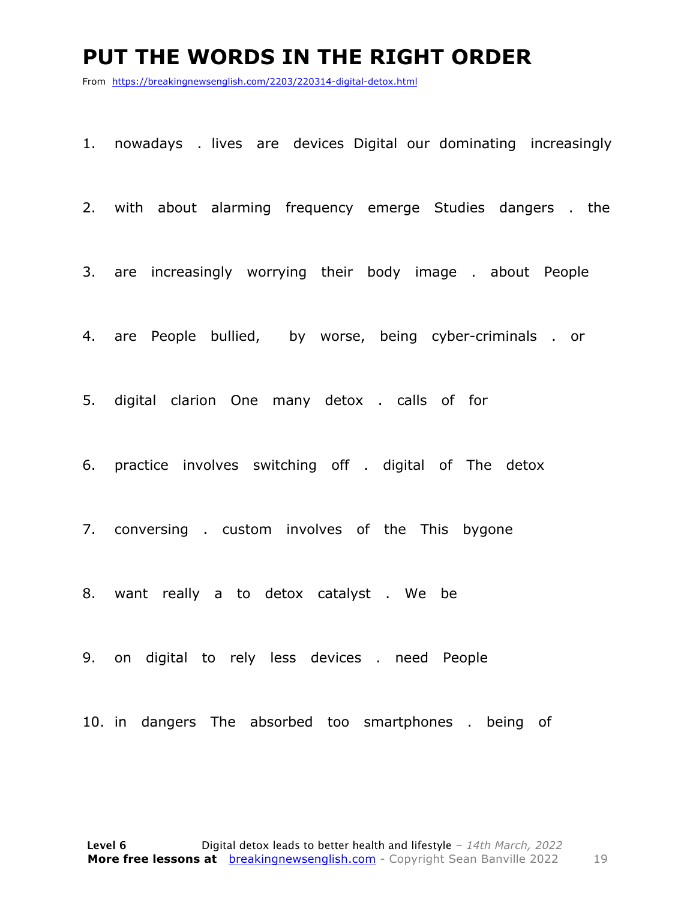#### **PUT THE WORDS IN THE RIGHT ORDER**

From https://breakingnewsenglish.com/2203/220314-digital-detox.html

1. nowadays . lives are devices Digital our dominating increasingly

2. with about alarming frequency emerge Studies dangers . the

3. are increasingly worrying their body image . about People

4. are People bullied, by worse, being cyber-criminals . or

5. digital clarion One many detox . calls of for

6. practice involves switching off . digital of The detox

7. conversing . custom involves of the This bygone

8. want really a to detox catalyst . We be

9. on digital to rely less devices . need People

10. in dangers The absorbed too smartphones . being of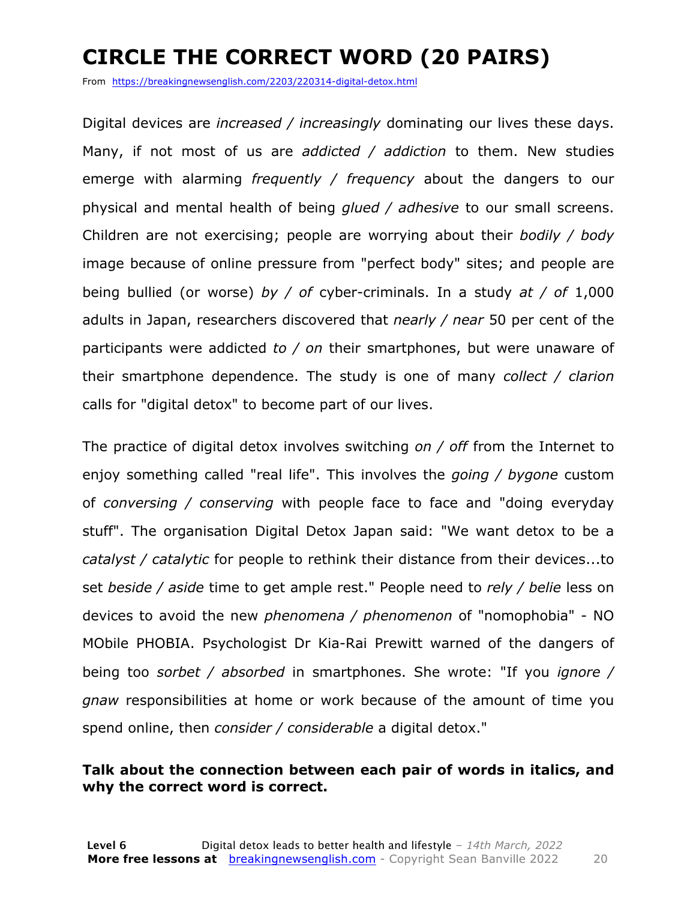### **CIRCLE THE CORRECT WORD (20 PAIRS)**

From https://breakingnewsenglish.com/2203/220314-digital-detox.html

Digital devices are *increased / increasingly* dominating our lives these days. Many, if not most of us are *addicted / addiction* to them. New studies emerge with alarming *frequently / frequency* about the dangers to our physical and mental health of being *glued / adhesive* to our small screens. Children are not exercising; people are worrying about their *bodily / body* image because of online pressure from "perfect body" sites; and people are being bullied (or worse) *by / of* cyber-criminals. In a study *at / of* 1,000 adults in Japan, researchers discovered that *nearly / near* 50 per cent of the participants were addicted *to / on* their smartphones, but were unaware of their smartphone dependence. The study is one of many *collect / clarion* calls for "digital detox" to become part of our lives.

The practice of digital detox involves switching *on / off* from the Internet to enjoy something called "real life". This involves the *going / bygone* custom of *conversing / conserving* with people face to face and "doing everyday stuff". The organisation Digital Detox Japan said: "We want detox to be a *catalyst / catalytic* for people to rethink their distance from their devices...to set *beside / aside* time to get ample rest." People need to *rely / belie* less on devices to avoid the new *phenomena / phenomenon* of "nomophobia" - NO MObile PHOBIA. Psychologist Dr Kia-Rai Prewitt warned of the dangers of being too *sorbet / absorbed* in smartphones. She wrote: "If you *ignore / gnaw* responsibilities at home or work because of the amount of time you spend online, then *consider / considerable* a digital detox."

#### **Talk about the connection between each pair of words in italics, and why the correct word is correct.**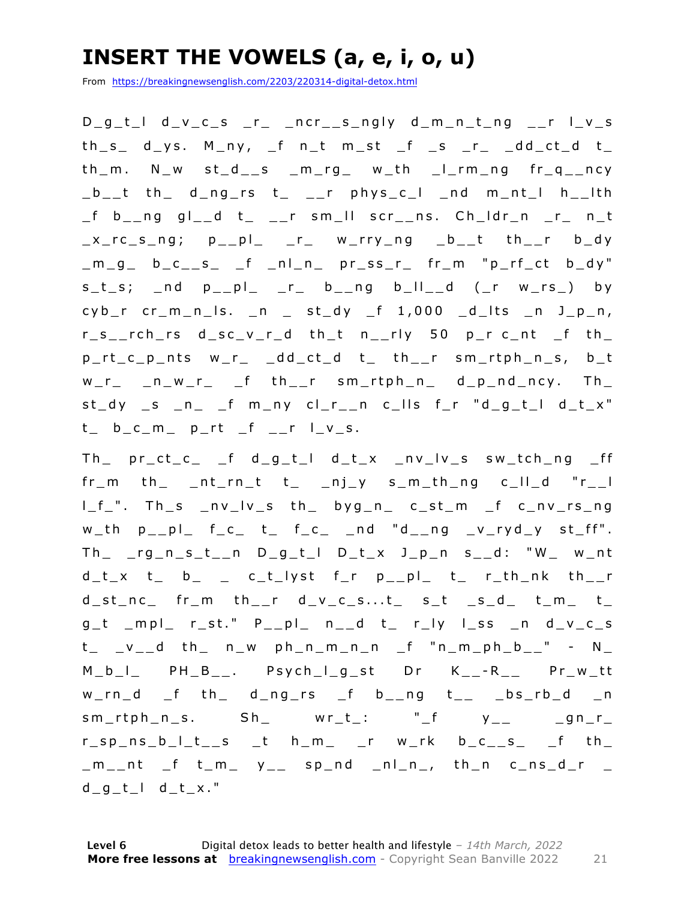### **INSERT THE VOWELS (a, e, i, o, u)**

From https://breakingnewsenglish.com/2203/220314-digital-detox.html

D\_g\_t\_l d\_v\_c\_s \_r\_ \_ncr\_\_s\_ngly d\_m\_n\_t\_ng \_\_r l\_v\_s  $th\_s$  d\_ys. M\_ny,  $ft\_n$  m\_st  $ft\_s$   $rt\_dd\_ct\_d$   $t\_$ th\_m. N\_w st\_d\_\_s \_m\_rg\_ w\_th \_l\_rm\_ng fr\_q\_\_ncy  $_b_1$  th d\_ng\_rs t\_ \_\_r phys\_c\_l \_nd m\_nt\_l h\_\_lth \_f b\_\_n g gl\_\_d t\_ \_\_r sm\_ll scr\_\_ns. Ch\_ldr\_n \_r\_ n\_t  $x_r c_s_n g$ ;  $p_{p}$  $p_{p}$  $r_{p}$   $r_{p}$  w\_rry\_ng  $_b$   $_b$   $_{c}$  th  $_{c}$   $r_{p}$ \_m\_g\_ b\_c\_\_s\_ \_f \_nl\_n\_ pr\_ss\_r\_ fr\_m "p\_rf\_ct b\_dy"  $s_t_s$ ;  $s_t$  and  $p_t$   $p_t$   $r$   $b$   $p$   $q$   $b$   $l$  $l$   $d$   $(r$   $w_t s$   $)$  by  $cyb_r$  cr\_m\_n\_ls. \_n \_ st\_dy \_f 1,000 \_d\_lts \_n J\_p\_n, r\_s\_\_rch\_rs d\_sc\_v\_r\_d th\_t n\_\_rly 50 p\_r c\_nt \_f th\_ p\_rt\_c\_p\_nts w\_r\_ \_dd\_ct\_d t\_ th\_\_r sm\_rtph\_n\_s, b\_t  $w_r$  n  $w_r$  f th r sm rtph n d p nd ncy. Th  $st_dy$  \_s \_n\_ \_f m\_ny  $cl_r$ \_n c\_lls f\_r "d\_g\_t\_l d\_t\_x"  $t_{-}$  b\_c\_m\_ p\_rt \_f \_\_r  $l_{-}v_{-}s$ .

Th  $pr\_ct_c$   $f$  d $g_t$ <sup>1</sup> d $tx$   $nv$  v  $s$  sw $tch_n$  $fr_m$  th\_ \_nt\_rn\_t t\_ \_nj\_y s\_m\_th\_ng c\_ll\_d "r\_\_l l\_f\_". Th\_s \_nv\_lv\_s th\_ byg\_n\_ c\_st\_m \_f c\_nv\_rs\_ng  $w_th$   $p_{-p}$  $l_{-}$   $f_{-}c_{-}$   $t_{-}$   $f_{-}c_{-}$   $-$ nd "d $_{-}$ ng  $_{-}v_{-}ryd_{-}y$  st $_{-}ff$ ". Th\_ \_rg\_n\_s\_t\_\_n D\_g\_t\_l D\_t\_x J\_p\_n s\_\_d: "W\_ w\_nt  $d_t x t_b = c_t \text{lyst}$  fr p\_pl\_ t\_ r\_th\_nk th\_r  $d\_st\_nc\_$  fr\_m  $th\_r$   $d\_v\_c\_s...t\_$  s\_t  $_s\_d\_$   $t\_m\_$   $t\_$  $g_t$  \_mpl\_ r\_st."  $P_{p}$  $p_1$  n\_d t\_ r\_ly l\_ss \_n d\_v\_c\_s  $t_$  \_v\_\_d th\_ n\_w ph\_n\_m\_n\_n \_f "n\_m\_ph\_b\_\_" - N\_ M\_b\_l\_ PH\_B\_\_. Psych\_l\_g\_st Dr K\_\_ - R\_\_ Pr\_w\_tt  $w\_rn\_d$   $_f$  th $_d$  d $_ng\_rs$   $_f$  b $_ng$  $sm\_rtph\_n\_s.$   $Sh_$   $wr\_t_$ : "\_f  $y_{--}$   $sgn\_r\_$  $r_sp_ns_b_l_t_s$  t h\_m\_ \_r w\_rk b\_c\_\_s\_ \_f th\_  $m_$ nt f t\_m\_ y\_\_ sp\_nd \_nl\_n\_, th\_n c\_ns\_d\_r \_ d  $q$  t  $\vert$  d t  $x.$  "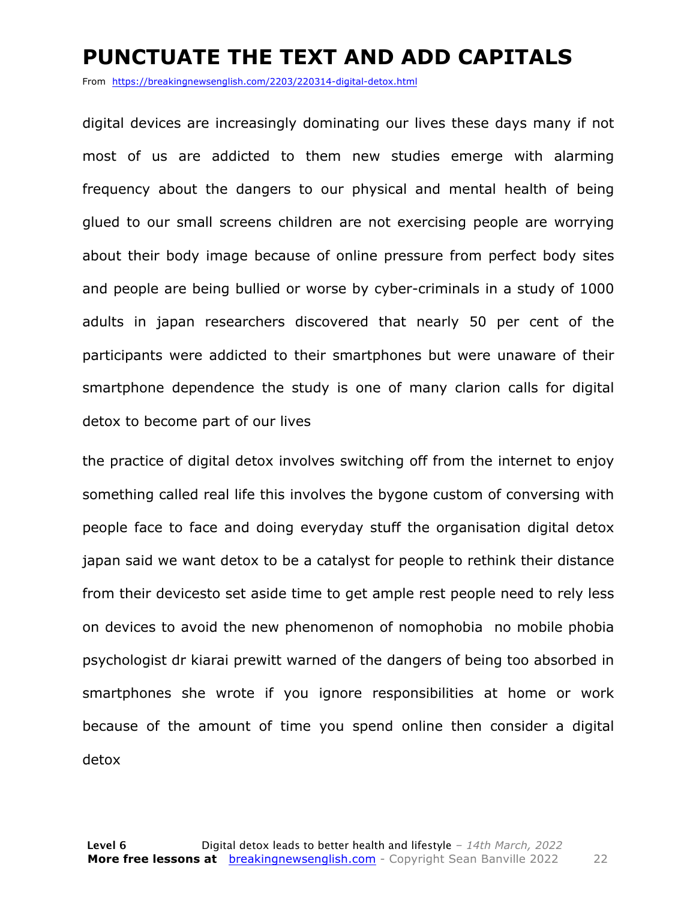#### **PUNCTUATE THE TEXT AND ADD CAPITALS**

From https://breakingnewsenglish.com/2203/220314-digital-detox.html

digital devices are increasingly dominating our lives these days many if not most of us are addicted to them new studies emerge with alarming frequency about the dangers to our physical and mental health of being glued to our small screens children are not exercising people are worrying about their body image because of online pressure from perfect body sites and people are being bullied or worse by cyber-criminals in a study of 1000 adults in japan researchers discovered that nearly 50 per cent of the participants were addicted to their smartphones but were unaware of their smartphone dependence the study is one of many clarion calls for digital detox to become part of our lives

the practice of digital detox involves switching off from the internet to enjoy something called real life this involves the bygone custom of conversing with people face to face and doing everyday stuff the organisation digital detox japan said we want detox to be a catalyst for people to rethink their distance from their devicesto set aside time to get ample rest people need to rely less on devices to avoid the new phenomenon of nomophobia no mobile phobia psychologist dr kiarai prewitt warned of the dangers of being too absorbed in smartphones she wrote if you ignore responsibilities at home or work because of the amount of time you spend online then consider a digital detox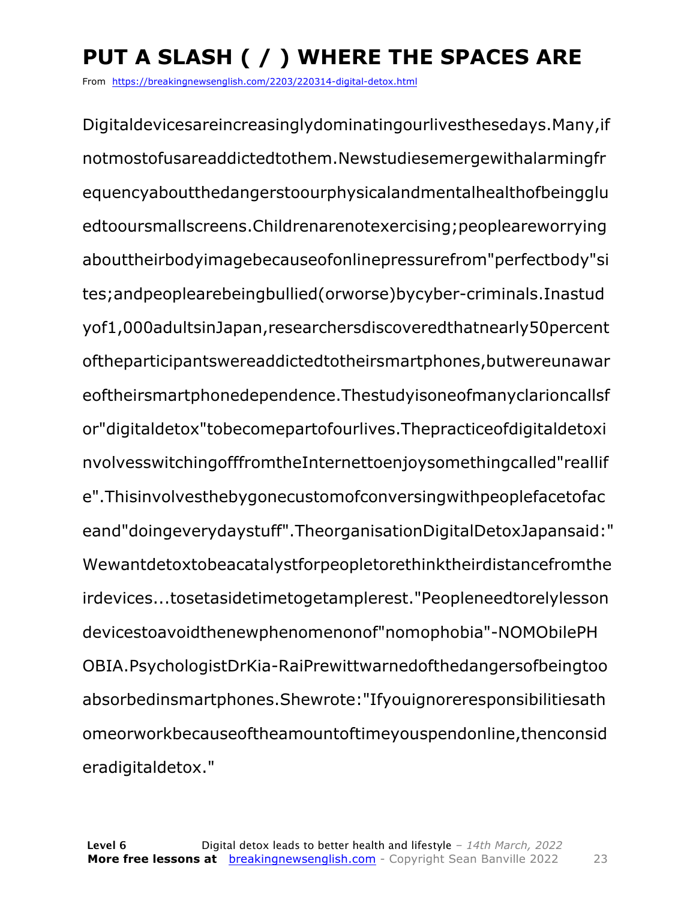## **PUT A SLASH ( / ) WHERE THE SPACES ARE**

From https://breakingnewsenglish.com/2203/220314-digital-detox.html

Digitaldevicesareincreasinglydominatingourlivesthesedays.Many,if notmostofusareaddictedtothem.Newstudiesemergewithalarmingfr equencyaboutthedangerstoourphysicalandmentalhealthofbeingglu edtooursmallscreens.Childrenarenotexercising;peopleareworrying abouttheirbodyimagebecauseofonlinepressurefrom"perfectbody"si tes;andpeoplearebeingbullied(orworse)bycyber-criminals.Inastud yof1,000adultsinJapan,researchersdiscoveredthatnearly50percent oftheparticipantswereaddictedtotheirsmartphones,butwereunawar eoftheirsmartphonedependence.Thestudyisoneofmanyclarioncallsf or"digitaldetox"tobecomepartofourlives.Thepracticeofdigitaldetoxi nvolvesswitchingofffromtheInternettoenjoysomethingcalled"reallif e".Thisinvolvesthebygonecustomofconversingwithpeoplefacetofac eand"doingeverydaystuff".TheorganisationDigitalDetoxJapansaid:" Wewantdetoxtobeacatalystforpeopletorethinktheirdistancefromthe irdevices...tosetasidetimetogetamplerest."Peopleneedtorelylesson devicestoavoidthenewphenomenonof"nomophobia"-NOMObilePH OBIA.PsychologistDrKia-RaiPrewittwarnedofthedangersofbeingtoo absorbedinsmartphones.Shewrote:"Ifyouignoreresponsibilitiesath omeorworkbecauseoftheamountoftimeyouspendonline,thenconsid eradigitaldetox."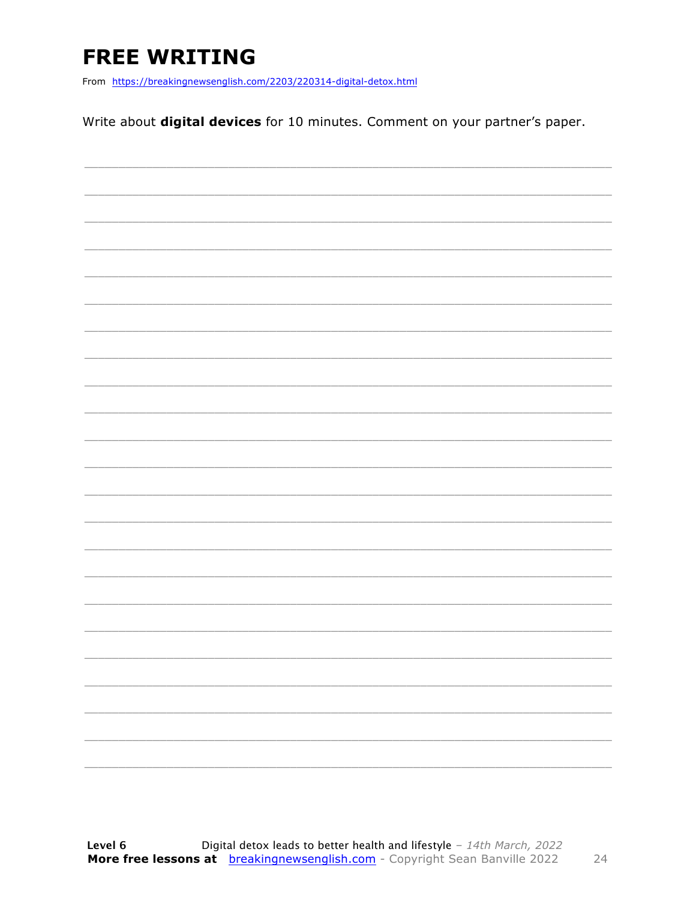### **FREE WRITING**

From https://breakingnewsenglish.com/2203/220314-digital-detox.html

Write about digital devices for 10 minutes. Comment on your partner's paper.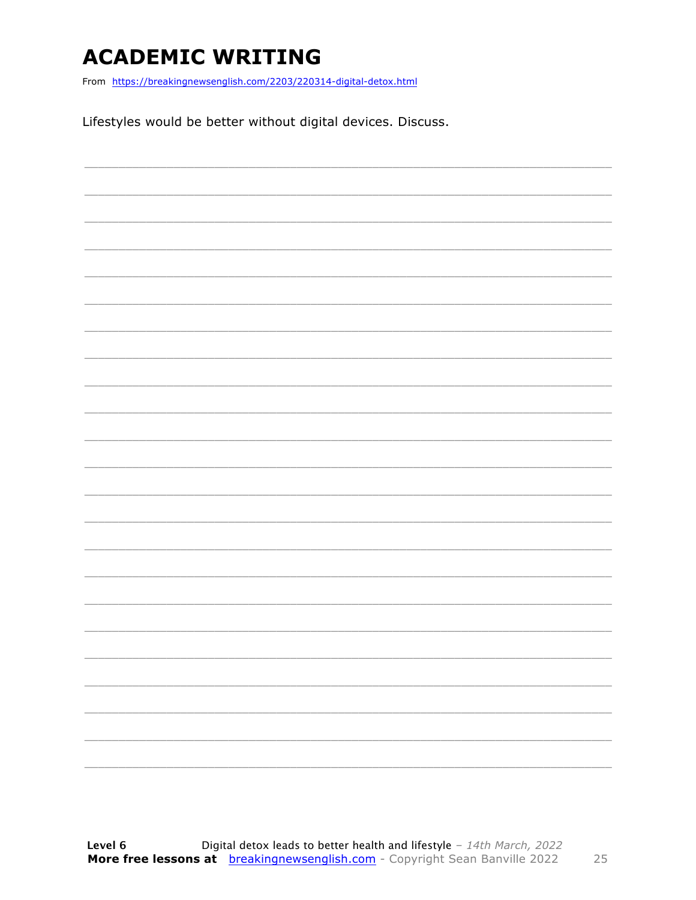### **ACADEMIC WRITING**

From https://breakingnewsenglish.com/2203/220314-digital-detox.html

Lifestyles would be better without digital devices. Discuss.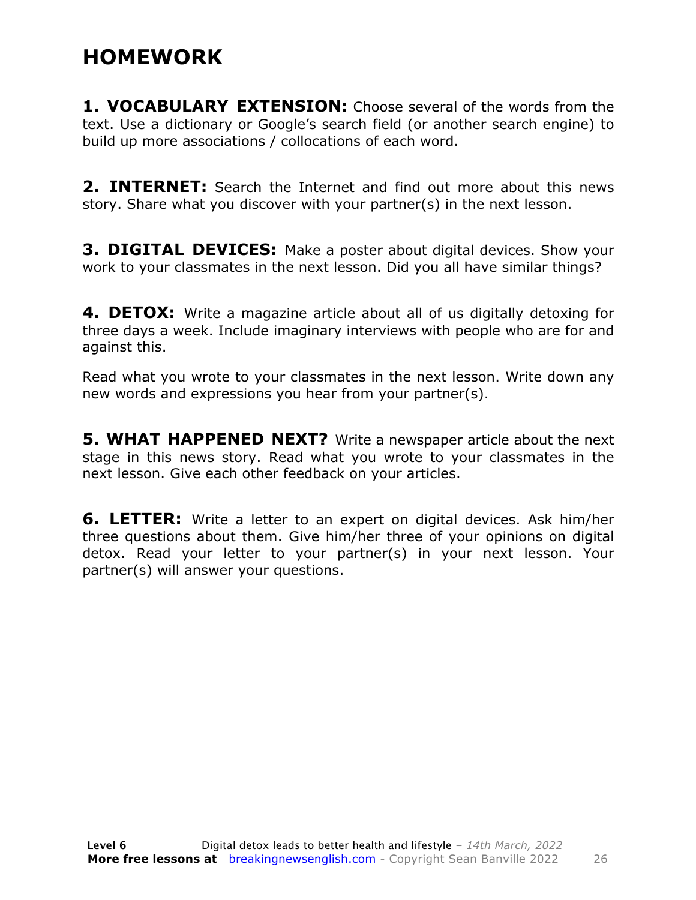### **HOMEWORK**

**1. VOCABULARY EXTENSION:** Choose several of the words from the text. Use a dictionary or Google's search field (or another search engine) to build up more associations / collocations of each word.

**2. INTERNET:** Search the Internet and find out more about this news story. Share what you discover with your partner(s) in the next lesson.

**3. DIGITAL DEVICES:** Make a poster about digital devices. Show your work to your classmates in the next lesson. Did you all have similar things?

**4. DETOX:** Write a magazine article about all of us digitally detoxing for three days a week. Include imaginary interviews with people who are for and against this.

Read what you wrote to your classmates in the next lesson. Write down any new words and expressions you hear from your partner(s).

**5. WHAT HAPPENED NEXT?** Write a newspaper article about the next stage in this news story. Read what you wrote to your classmates in the next lesson. Give each other feedback on your articles.

**6. LETTER:** Write a letter to an expert on digital devices. Ask him/her three questions about them. Give him/her three of your opinions on digital detox. Read your letter to your partner(s) in your next lesson. Your partner(s) will answer your questions.